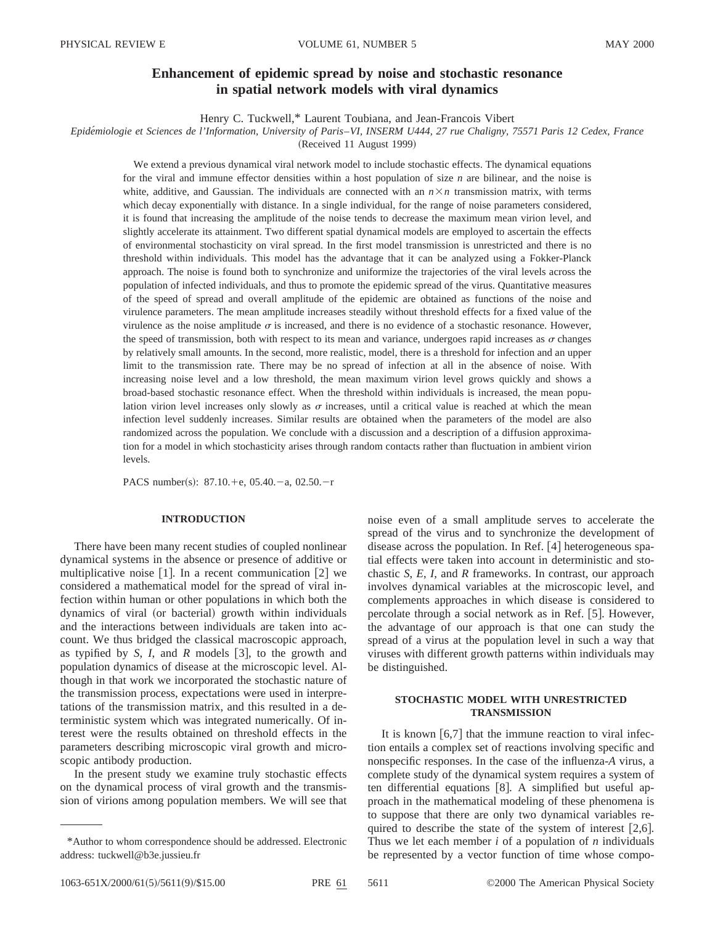# **Enhancement of epidemic spread by noise and stochastic resonance in spatial network models with viral dynamics**

Henry C. Tuckwell,\* Laurent Toubiana, and Jean-Francois Vibert

*Epide´miologie et Sciences de l'Information, University of Paris*–*VI, INSERM U444, 27 rue Chaligny, 75571 Paris 12 Cedex, France*

(Received 11 August 1999)

We extend a previous dynamical viral network model to include stochastic effects. The dynamical equations for the viral and immune effector densities within a host population of size *n* are bilinear, and the noise is white, additive, and Gaussian. The individuals are connected with an  $n \times n$  transmission matrix, with terms which decay exponentially with distance. In a single individual, for the range of noise parameters considered, it is found that increasing the amplitude of the noise tends to decrease the maximum mean virion level, and slightly accelerate its attainment. Two different spatial dynamical models are employed to ascertain the effects of environmental stochasticity on viral spread. In the first model transmission is unrestricted and there is no threshold within individuals. This model has the advantage that it can be analyzed using a Fokker-Planck approach. The noise is found both to synchronize and uniformize the trajectories of the viral levels across the population of infected individuals, and thus to promote the epidemic spread of the virus. Quantitative measures of the speed of spread and overall amplitude of the epidemic are obtained as functions of the noise and virulence parameters. The mean amplitude increases steadily without threshold effects for a fixed value of the virulence as the noise amplitude  $\sigma$  is increased, and there is no evidence of a stochastic resonance. However, the speed of transmission, both with respect to its mean and variance, undergoes rapid increases as  $\sigma$  changes by relatively small amounts. In the second, more realistic, model, there is a threshold for infection and an upper limit to the transmission rate. There may be no spread of infection at all in the absence of noise. With increasing noise level and a low threshold, the mean maximum virion level grows quickly and shows a broad-based stochastic resonance effect. When the threshold within individuals is increased, the mean population virion level increases only slowly as  $\sigma$  increases, until a critical value is reached at which the mean infection level suddenly increases. Similar results are obtained when the parameters of the model are also randomized across the population. We conclude with a discussion and a description of a diffusion approximation for a model in which stochasticity arises through random contacts rather than fluctuation in ambient virion levels.

PACS number(s):  $87.10.+e$ ,  $05.40.-a$ ,  $02.50.-r$ 

# **INTRODUCTION**

There have been many recent studies of coupled nonlinear dynamical systems in the absence or presence of additive or multiplicative noise  $\lceil 1 \rceil$ . In a recent communication  $\lceil 2 \rceil$  we considered a mathematical model for the spread of viral infection within human or other populations in which both the dynamics of viral (or bacterial) growth within individuals and the interactions between individuals are taken into account. We thus bridged the classical macroscopic approach, as typified by  $S$ ,  $I$ , and  $R$  models  $[3]$ , to the growth and population dynamics of disease at the microscopic level. Although in that work we incorporated the stochastic nature of the transmission process, expectations were used in interpretations of the transmission matrix, and this resulted in a deterministic system which was integrated numerically. Of interest were the results obtained on threshold effects in the parameters describing microscopic viral growth and microscopic antibody production.

In the present study we examine truly stochastic effects on the dynamical process of viral growth and the transmission of virions among population members. We will see that noise even of a small amplitude serves to accelerate the spread of the virus and to synchronize the development of disease across the population. In Ref.  $[4]$  heterogeneous spatial effects were taken into account in deterministic and stochastic *S*, *E*, *I*, and *R* frameworks. In contrast, our approach involves dynamical variables at the microscopic level, and complements approaches in which disease is considered to percolate through a social network as in Ref.  $[5]$ . However, the advantage of our approach is that one can study the spread of a virus at the population level in such a way that viruses with different growth patterns within individuals may be distinguished.

# **STOCHASTIC MODEL WITH UNRESTRICTED TRANSMISSION**

It is known  $[6,7]$  that the immune reaction to viral infection entails a complex set of reactions involving specific and nonspecific responses. In the case of the influenza-*A* virus, a complete study of the dynamical system requires a system of ten differential equations  $[8]$ . A simplified but useful approach in the mathematical modeling of these phenomena is to suppose that there are only two dynamical variables required to describe the state of the system of interest  $[2,6]$ . Thus we let each member *i* of a population of *n* individuals be represented by a vector function of time whose compo-

<sup>\*</sup>Author to whom correspondence should be addressed. Electronic address: tuckwell@b3e.jussieu.fr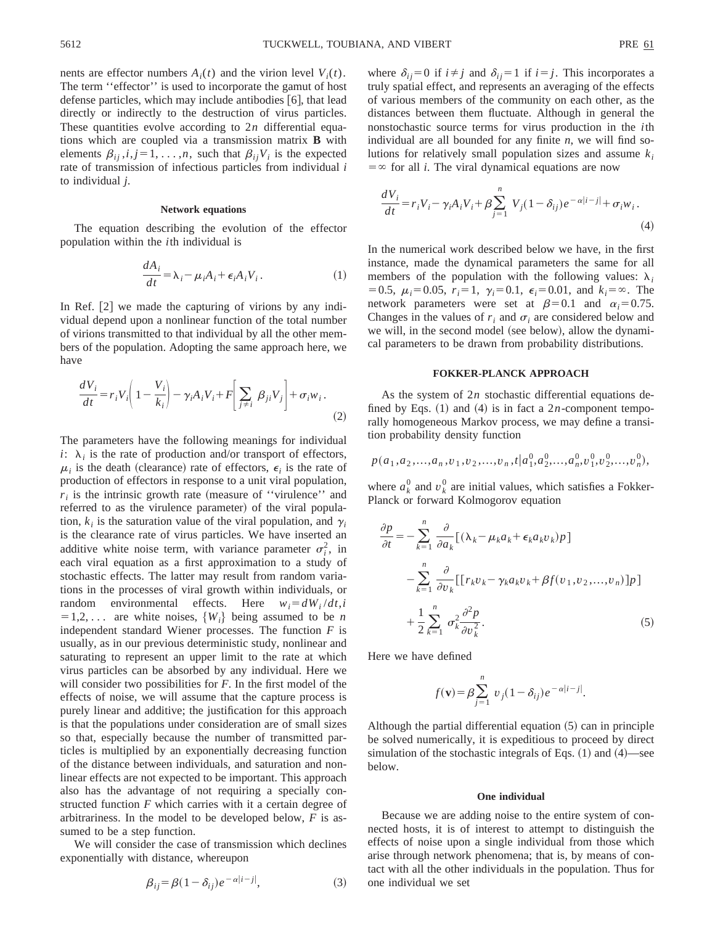nents are effector numbers  $A_i(t)$  and the virion level  $V_i(t)$ . The term ''effector'' is used to incorporate the gamut of host defense particles, which may include antibodies  $[6]$ , that lead directly or indirectly to the destruction of virus particles. These quantities evolve according to 2*n* differential equations which are coupled via a transmission matrix **B** with elements  $\beta_{ii}$ , *i*, *j* = 1, . . . , *n*, such that  $\beta_{ii}V_i$  is the expected rate of transmission of infectious particles from individual *i* to individual *j*.

### **Network equations**

The equation describing the evolution of the effector population within the *i*th individual is

$$
\frac{dA_i}{dt} = \lambda_i - \mu_i A_i + \epsilon_i A_i V_i.
$$
 (1)

In Ref.  $[2]$  we made the capturing of virions by any individual depend upon a nonlinear function of the total number of virions transmitted to that individual by all the other members of the population. Adopting the same approach here, we have

$$
\frac{dV_i}{dt} = r_i V_i \left( 1 - \frac{V_i}{k_i} \right) - \gamma_i A_i V_i + F \left[ \sum_{j \neq i} \beta_{ji} V_j \right] + \sigma_i w_i.
$$
\n(2)

The parameters have the following meanings for individual *i*:  $\lambda_i$  is the rate of production and/or transport of effectors,  $\mu_i$  is the death (clearance) rate of effectors,  $\epsilon_i$  is the rate of production of effectors in response to a unit viral population,  $r_i$  is the intrinsic growth rate (measure of "virulence" and referred to as the virulence parameter) of the viral population,  $k_i$  is the saturation value of the viral population, and  $\gamma_i$ is the clearance rate of virus particles. We have inserted an additive white noise term, with variance parameter  $\sigma_i^2$ , in each viral equation as a first approximation to a study of stochastic effects. The latter may result from random variations in the processes of viral growth within individuals, or random environmental effects. Here  $w_i = dW_i/dt$ , *i*  $= 1,2,...$  are white noises,  $\{W_i\}$  being assumed to be *n* independent standard Wiener processes. The function *F* is usually, as in our previous deterministic study, nonlinear and saturating to represent an upper limit to the rate at which virus particles can be absorbed by any individual. Here we will consider two possibilities for *F*. In the first model of the effects of noise, we will assume that the capture process is purely linear and additive; the justification for this approach is that the populations under consideration are of small sizes so that, especially because the number of transmitted particles is multiplied by an exponentially decreasing function of the distance between individuals, and saturation and nonlinear effects are not expected to be important. This approach also has the advantage of not requiring a specially constructed function *F* which carries with it a certain degree of arbitrariness. In the model to be developed below, *F* is assumed to be a step function.

We will consider the case of transmission which declines exponentially with distance, whereupon

$$
\beta_{ij} = \beta (1 - \delta_{ij}) e^{-\alpha |i - j|}, \tag{3}
$$

where  $\delta_{ij}=0$  if  $i \neq j$  and  $\delta_{ij}=1$  if  $i=j$ . This incorporates a truly spatial effect, and represents an averaging of the effects of various members of the community on each other, as the distances between them fluctuate. Although in general the nonstochastic source terms for virus production in the *i*th individual are all bounded for any finite *n*, we will find solutions for relatively small population sizes and assume  $k_i$  $=$   $\infty$  for all *i*. The viral dynamical equations are now

$$
\frac{dV_i}{dt} = r_i V_i - \gamma_i A_i V_i + \beta \sum_{j=1}^n V_j (1 - \delta_{ij}) e^{-\alpha |i-j|} + \sigma_i w_i.
$$
\n(4)

In the numerical work described below we have, in the first instance, made the dynamical parameters the same for all members of the population with the following values:  $\lambda_i$  $=0.5$ ,  $\mu_i=0.05$ ,  $r_i=1$ ,  $\gamma_i=0.1$ ,  $\epsilon_i=0.01$ , and  $k_i=\infty$ . The network parameters were set at  $\beta=0.1$  and  $\alpha_i=0.75$ . Changes in the values of  $r_i$  and  $\sigma_i$  are considered below and we will, in the second model (see below), allow the dynamical parameters to be drawn from probability distributions.

### **FOKKER-PLANCK APPROACH**

As the system of 2*n* stochastic differential equations defined by Eqs.  $(1)$  and  $(4)$  is in fact a  $2n$ -component temporally homogeneous Markov process, we may define a transition probability density function

$$
p(a_1, a_2,..., a_n, v_1, v_2,..., v_n, t | a_1^0, a_2^0,..., a_n^0, v_1^0, v_2^0,..., v_n^0),
$$

where  $a_k^0$  and  $v_k^0$  are initial values, which satisfies a Fokker-Planck or forward Kolmogorov equation

$$
\frac{\partial p}{\partial t} = -\sum_{k=1}^{n} \frac{\partial}{\partial a_k} [(\lambda_k - \mu_k a_k + \epsilon_k a_k v_k) p]
$$

$$
- \sum_{k=1}^{n} \frac{\partial}{\partial v_k} [[r_k v_k - \gamma_k a_k v_k + \beta f(v_1, v_2, ..., v_n)] p]
$$

$$
+ \frac{1}{2} \sum_{k=1}^{n} \sigma_k^2 \frac{\partial^2 p}{\partial v_k^2}.
$$
(5)

Here we have defined

$$
f(\mathbf{v}) = \beta \sum_{j=1}^{n} v_j (1 - \delta_{ij}) e^{-\alpha |i-j|}.
$$

Although the partial differential equation  $(5)$  can in principle be solved numerically, it is expeditious to proceed by direct simulation of the stochastic integrals of Eqs.  $(1)$  and  $(4)$ —see below.

### **One individual**

Because we are adding noise to the entire system of connected hosts, it is of interest to attempt to distinguish the effects of noise upon a single individual from those which arise through network phenomena; that is, by means of contact with all the other individuals in the population. Thus for one individual we set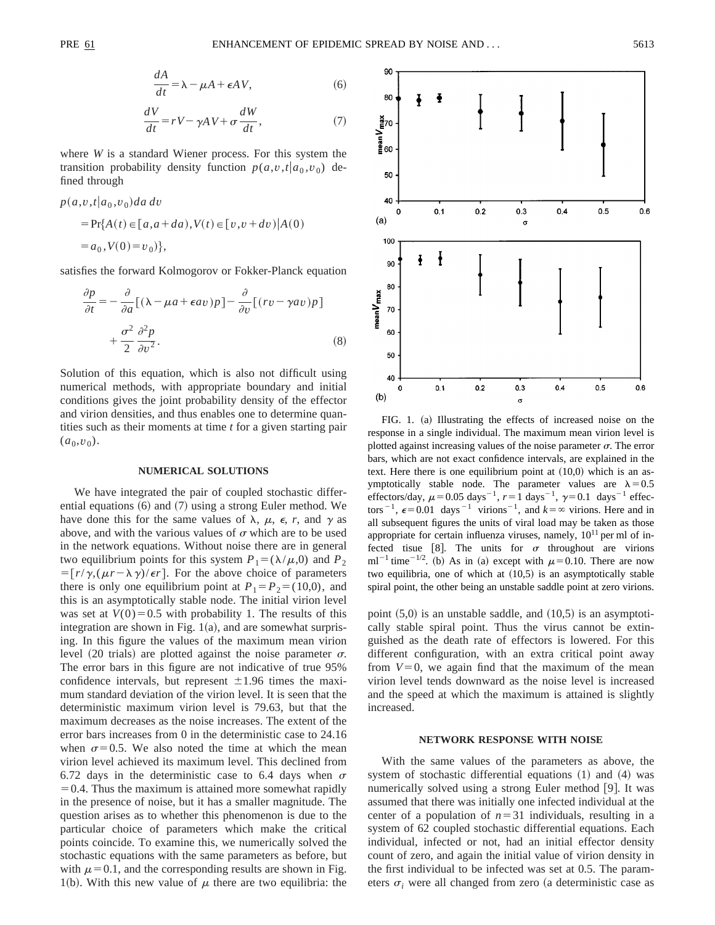$$
\frac{dA}{dt} = \lambda - \mu A + \epsilon A V,\tag{6}
$$

$$
\frac{dV}{dt} = rV - \gamma A V + \sigma \frac{dW}{dt},\tag{7}
$$

where *W* is a standard Wiener process. For this system the transition probability density function  $p(a,v,t|a_0,v_0)$  defined through

$$
p(a, v, t | a_0, v_0) da dv
$$
  
= Pr{ $A(t) \in [a, a + da), V(t) \in [v, v + dv), A(0)$   
=  $a_0, V(0) = v_0),$ 

satisfies the forward Kolmogorov or Fokker-Planck equation

$$
\frac{\partial p}{\partial t} = -\frac{\partial}{\partial a} \left[ (\lambda - \mu a + \epsilon a v) p \right] - \frac{\partial}{\partial v} \left[ (rv - \gamma a v) p \right]
$$

$$
+ \frac{\sigma^2}{2} \frac{\partial^2 p}{\partial v^2}.
$$
(8)

Solution of this equation, which is also not difficult using numerical methods, with appropriate boundary and initial conditions gives the joint probability density of the effector and virion densities, and thus enables one to determine quantities such as their moments at time *t* for a given starting pair  $(a_0, v_0)$ .

#### **NUMERICAL SOLUTIONS**

We have integrated the pair of coupled stochastic differential equations  $(6)$  and  $(7)$  using a strong Euler method. We have done this for the same values of  $\lambda$ ,  $\mu$ ,  $\epsilon$ ,  $r$ , and  $\gamma$  as above, and with the various values of  $\sigma$  which are to be used in the network equations. Without noise there are in general two equilibrium points for this system  $P_1 = (\lambda/\mu, 0)$  and  $P_2$  $=\left[r/\gamma\frac{\mu r-\lambda \gamma}{\epsilon r}\right]$ . For the above choice of parameters there is only one equilibrium point at  $P_1 = P_2 = (10,0)$ , and this is an asymptotically stable node. The initial virion level was set at  $V(0)=0.5$  with probability 1. The results of this integration are shown in Fig.  $1(a)$ , and are somewhat surprising. In this figure the values of the maximum mean virion level (20 trials) are plotted against the noise parameter  $\sigma$ . The error bars in this figure are not indicative of true 95% confidence intervals, but represent  $\pm 1.96$  times the maximum standard deviation of the virion level. It is seen that the deterministic maximum virion level is 79.63, but that the maximum decreases as the noise increases. The extent of the error bars increases from 0 in the deterministic case to 24.16 when  $\sigma$ =0.5. We also noted the time at which the mean virion level achieved its maximum level. This declined from 6.72 days in the deterministic case to 6.4 days when  $\sigma$  $=0.4$ . Thus the maximum is attained more somewhat rapidly in the presence of noise, but it has a smaller magnitude. The question arises as to whether this phenomenon is due to the particular choice of parameters which make the critical points coincide. To examine this, we numerically solved the stochastic equations with the same parameters as before, but with  $\mu$  = 0.1, and the corresponding results are shown in Fig. 1(b). With this new value of  $\mu$  there are two equilibria: the



FIG. 1. (a) Illustrating the effects of increased noise on the response in a single individual. The maximum mean virion level is plotted against increasing values of the noise parameter  $\sigma$ . The error bars, which are not exact confidence intervals, are explained in the text. Here there is one equilibrium point at  $(10,0)$  which is an asymptotically stable node. The parameter values are  $\lambda = 0.5$ effectors/day,  $\mu$ =0.05 days<sup>-1</sup>,  $r=1$  days<sup>-1</sup>,  $\gamma$ =0.1 days<sup>-1</sup> effectors<sup>-1</sup>,  $\epsilon$ =0.01 days<sup>-1</sup> virions<sup>-1</sup>, and  $k=\infty$  virions. Here and in all subsequent figures the units of viral load may be taken as those appropriate for certain influenza viruses, namely,  $10^{11}$  per ml of infected tisue [8]. The units for  $\sigma$  throughout are virions  $ml^{-1}$  time<sup>-1/2</sup>. (b) As in (a) except with  $\mu$ =0.10. There are now two equilibria, one of which at  $(10,5)$  is an asymptotically stable spiral point, the other being an unstable saddle point at zero virions.

point  $(5,0)$  is an unstable saddle, and  $(10,5)$  is an asymptotically stable spiral point. Thus the virus cannot be extinguished as the death rate of effectors is lowered. For this different configuration, with an extra critical point away from  $V=0$ , we again find that the maximum of the mean virion level tends downward as the noise level is increased and the speed at which the maximum is attained is slightly increased.

### **NETWORK RESPONSE WITH NOISE**

With the same values of the parameters as above, the system of stochastic differential equations  $(1)$  and  $(4)$  was numerically solved using a strong Euler method  $[9]$ . It was assumed that there was initially one infected individual at the center of a population of  $n=31$  individuals, resulting in a system of 62 coupled stochastic differential equations. Each individual, infected or not, had an initial effector density count of zero, and again the initial value of virion density in the first individual to be infected was set at 0.5. The parameters  $\sigma_i$  were all changed from zero (a deterministic case as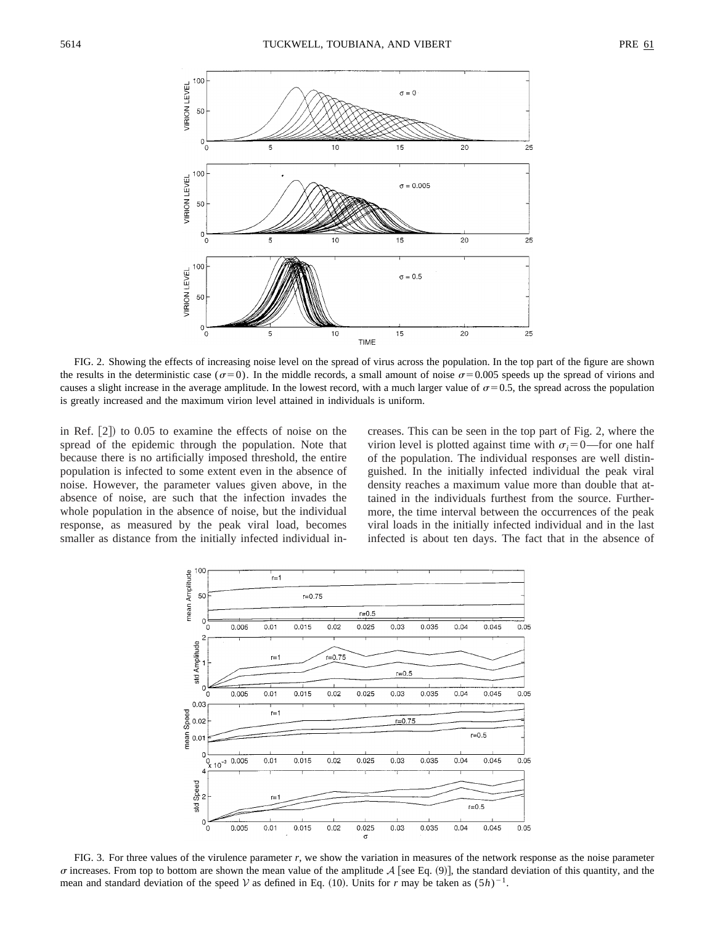

FIG. 2. Showing the effects of increasing noise level on the spread of virus across the population. In the top part of the figure are shown the results in the deterministic case ( $\sigma$ =0). In the middle records, a small amount of noise  $\sigma$ =0.005 speeds up the spread of virions and causes a slight increase in the average amplitude. In the lowest record, with a much larger value of  $\sigma$ =0.5, the spread across the population is greatly increased and the maximum virion level attained in individuals is uniform.

in Ref.  $[2]$  to 0.05 to examine the effects of noise on the spread of the epidemic through the population. Note that because there is no artificially imposed threshold, the entire population is infected to some extent even in the absence of noise. However, the parameter values given above, in the absence of noise, are such that the infection invades the whole population in the absence of noise, but the individual response, as measured by the peak viral load, becomes smaller as distance from the initially infected individual increases. This can be seen in the top part of Fig. 2, where the virion level is plotted against time with  $\sigma_i=0$ —for one half of the population. The individual responses are well distinguished. In the initially infected individual the peak viral density reaches a maximum value more than double that attained in the individuals furthest from the source. Furthermore, the time interval between the occurrences of the peak viral loads in the initially infected individual and in the last infected is about ten days. The fact that in the absence of



FIG. 3. For three values of the virulence parameter *r*, we show the variation in measures of the network response as the noise parameter  $\sigma$  increases. From top to bottom are shown the mean value of the amplitude  $\mathcal{A}$  [see Eq. (9)], the standard deviation of this quantity, and the mean and standard deviation of the speed V as defined in Eq. (10). Units for r may be taken as  $(5h)^{-1}$ .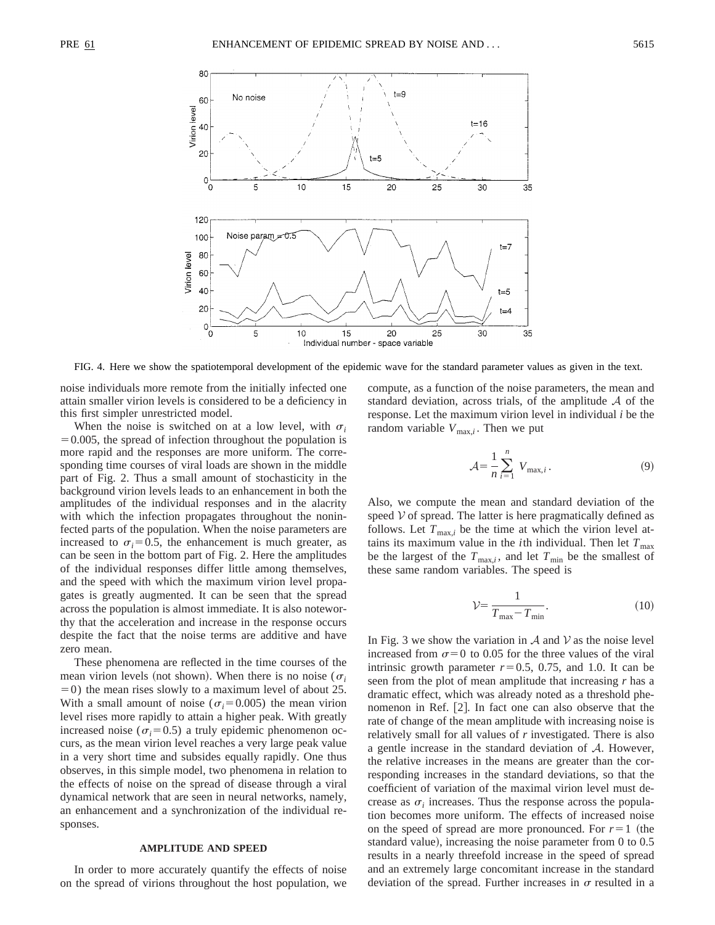

FIG. 4. Here we show the spatiotemporal development of the epidemic wave for the standard parameter values as given in the text.

noise individuals more remote from the initially infected one attain smaller virion levels is considered to be a deficiency in this first simpler unrestricted model.

When the noise is switched on at a low level, with  $\sigma_i$  $=0.005$ , the spread of infection throughout the population is more rapid and the responses are more uniform. The corresponding time courses of viral loads are shown in the middle part of Fig. 2. Thus a small amount of stochasticity in the background virion levels leads to an enhancement in both the amplitudes of the individual responses and in the alacrity with which the infection propagates throughout the noninfected parts of the population. When the noise parameters are increased to  $\sigma_i=0.5$ , the enhancement is much greater, as can be seen in the bottom part of Fig. 2. Here the amplitudes of the individual responses differ little among themselves, and the speed with which the maximum virion level propagates is greatly augmented. It can be seen that the spread across the population is almost immediate. It is also noteworthy that the acceleration and increase in the response occurs despite the fact that the noise terms are additive and have zero mean.

These phenomena are reflected in the time courses of the mean virion levels (not shown). When there is no noise ( $\sigma_i$  $=0$ ) the mean rises slowly to a maximum level of about 25. With a small amount of noise ( $\sigma$ <sub>i</sub>=0.005) the mean virion level rises more rapidly to attain a higher peak. With greatly increased noise ( $\sigma_i$ =0.5) a truly epidemic phenomenon occurs, as the mean virion level reaches a very large peak value in a very short time and subsides equally rapidly. One thus observes, in this simple model, two phenomena in relation to the effects of noise on the spread of disease through a viral dynamical network that are seen in neural networks, namely, an enhancement and a synchronization of the individual responses.

# **AMPLITUDE AND SPEED**

In order to more accurately quantify the effects of noise on the spread of virions throughout the host population, we compute, as a function of the noise parameters, the mean and standard deviation, across trials, of the amplitude  $A$  of the response. Let the maximum virion level in individual *i* be the random variable  $V_{\text{max},i}$ . Then we put

$$
\mathcal{A} = \frac{1}{n} \sum_{i=1}^{n} V_{\text{max},i}.
$$
 (9)

Also, we compute the mean and standard deviation of the speed  $V$  of spread. The latter is here pragmatically defined as follows. Let  $T_{\text{max},i}$  be the time at which the virion level attains its maximum value in the *i*th individual. Then let  $T_{\text{max}}$ be the largest of the  $T_{\text{max},i}$ , and let  $T_{\text{min}}$  be the smallest of these same random variables. The speed is

$$
\mathcal{V} = \frac{1}{T_{\text{max}} - T_{\text{min}}}.\tag{10}
$$

In Fig. 3 we show the variation in  $A$  and  $V$  as the noise level increased from  $\sigma$ =0 to 0.05 for the three values of the viral intrinsic growth parameter  $r=0.5$ , 0.75, and 1.0. It can be seen from the plot of mean amplitude that increasing *r* has a dramatic effect, which was already noted as a threshold phenomenon in Ref.  $[2]$ . In fact one can also observe that the rate of change of the mean amplitude with increasing noise is relatively small for all values of *r* investigated. There is also a gentle increase in the standard deviation of A. However, the relative increases in the means are greater than the corresponding increases in the standard deviations, so that the coefficient of variation of the maximal virion level must decrease as  $\sigma_i$  increases. Thus the response across the population becomes more uniform. The effects of increased noise on the speed of spread are more pronounced. For  $r=1$  (the standard value), increasing the noise parameter from  $0$  to  $0.5$ results in a nearly threefold increase in the speed of spread and an extremely large concomitant increase in the standard deviation of the spread. Further increases in  $\sigma$  resulted in a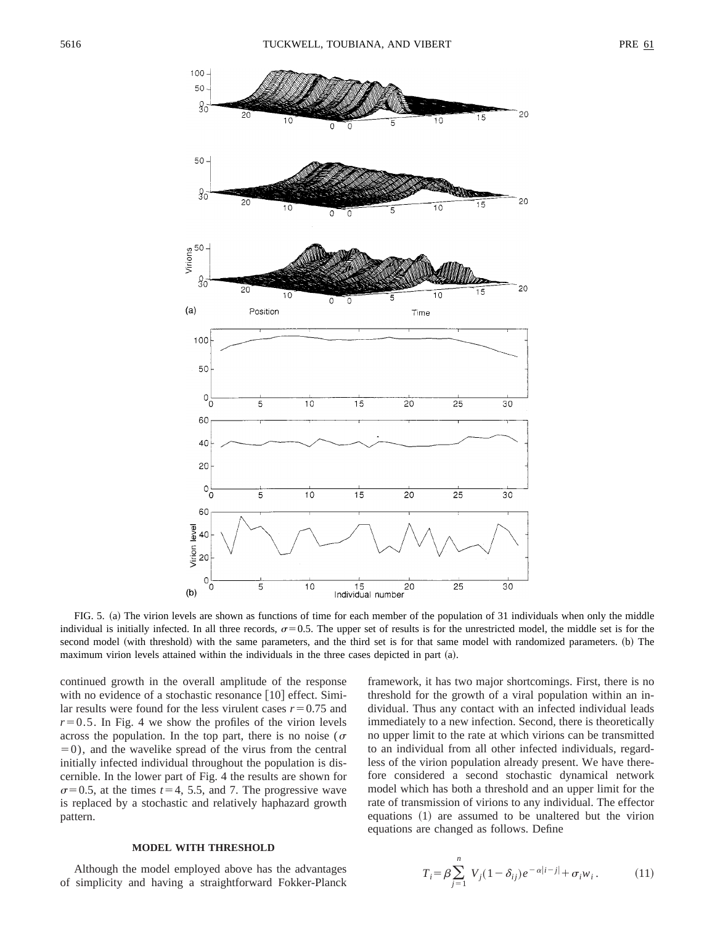

FIG. 5. (a) The virion levels are shown as functions of time for each member of the population of 31 individuals when only the middle individual is initially infected. In all three records,  $\sigma = 0.5$ . The upper set of results is for the unrestricted model, the middle set is for the second model (with threshold) with the same parameters, and the third set is for that same model with randomized parameters. (b) The maximum virion levels attained within the individuals in the three cases depicted in part (a).

continued growth in the overall amplitude of the response with no evidence of a stochastic resonance  $[10]$  effect. Similar results were found for the less virulent cases  $r=0.75$  and  $r=0.5$ . In Fig. 4 we show the profiles of the virion levels across the population. In the top part, there is no noise ( $\sigma$  $(50)$ , and the wavelike spread of the virus from the central initially infected individual throughout the population is discernible. In the lower part of Fig. 4 the results are shown for  $\sigma$ =0.5, at the times  $t$ =4, 5.5, and 7. The progressive wave is replaced by a stochastic and relatively haphazard growth pattern.

# **MODEL WITH THRESHOLD**

Although the model employed above has the advantages of simplicity and having a straightforward Fokker-Planck framework, it has two major shortcomings. First, there is no threshold for the growth of a viral population within an individual. Thus any contact with an infected individual leads immediately to a new infection. Second, there is theoretically no upper limit to the rate at which virions can be transmitted to an individual from all other infected individuals, regardless of the virion population already present. We have therefore considered a second stochastic dynamical network model which has both a threshold and an upper limit for the rate of transmission of virions to any individual. The effector equations  $(1)$  are assumed to be unaltered but the virion equations are changed as follows. Define

$$
T_i = \beta \sum_{j=1}^n V_j (1 - \delta_{ij}) e^{-\alpha |i - j|} + \sigma_i w_i.
$$
 (11)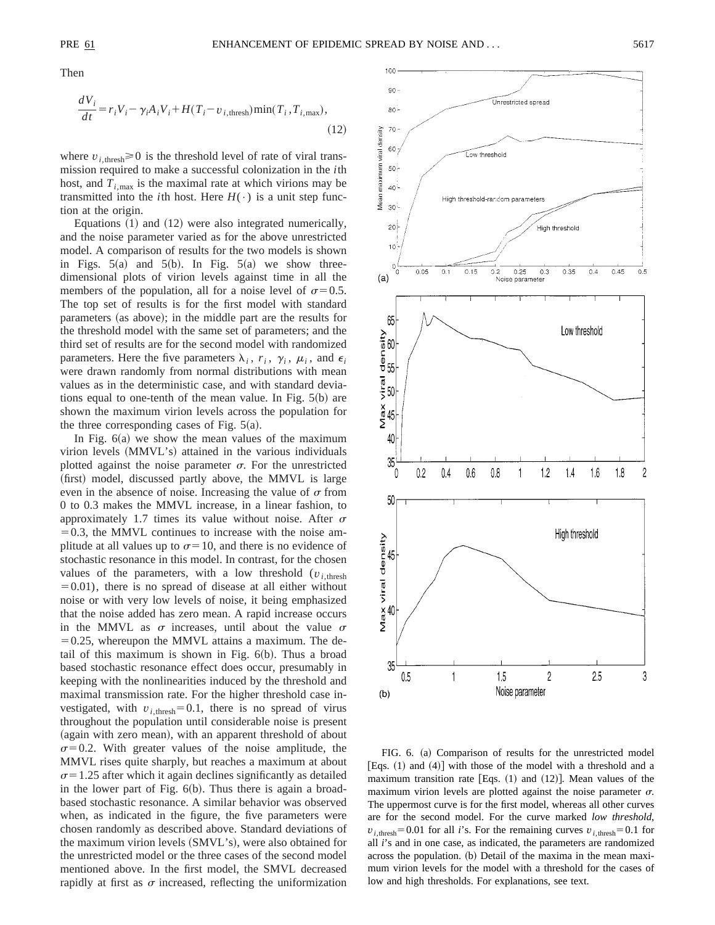Then

$$
\frac{dV_i}{dt} = r_i V_i - \gamma_i A_i V_i + H(T_i - v_{i,\text{thresh}}) \min(T_i, T_{i,\text{max}}),
$$
\n(12)

where  $v_{i,\text{thresh}} \ge 0$  is the threshold level of rate of viral transmission required to make a successful colonization in the *i*th host, and  $T_{i, max}$  is the maximal rate at which virions may be transmitted into the *i*th host. Here  $H(\cdot)$  is a unit step function at the origin.

Equations  $(1)$  and  $(12)$  were also integrated numerically, and the noise parameter varied as for the above unrestricted model. A comparison of results for the two models is shown in Figs.  $5(a)$  and  $5(b)$ . In Fig.  $5(a)$  we show threedimensional plots of virion levels against time in all the members of the population, all for a noise level of  $\sigma$ =0.5. The top set of results is for the first model with standard parameters (as above); in the middle part are the results for the threshold model with the same set of parameters; and the third set of results are for the second model with randomized parameters. Here the five parameters  $\lambda_i$ ,  $r_i$ ,  $\gamma_i$ ,  $\mu_i$ , and  $\epsilon_i$ were drawn randomly from normal distributions with mean values as in the deterministic case, and with standard deviations equal to one-tenth of the mean value. In Fig.  $5(b)$  are shown the maximum virion levels across the population for the three corresponding cases of Fig.  $5(a)$ .

In Fig.  $6(a)$  we show the mean values of the maximum virion levels  $(MMVL's)$  attained in the various individuals plotted against the noise parameter  $\sigma$ . For the unrestricted (first) model, discussed partly above, the MMVL is large even in the absence of noise. Increasing the value of  $\sigma$  from 0 to 0.3 makes the MMVL increase, in a linear fashion, to approximately 1.7 times its value without noise. After  $\sigma$  $=0.3$ , the MMVL continues to increase with the noise amplitude at all values up to  $\sigma$ =10, and there is no evidence of stochastic resonance in this model. In contrast, for the chosen values of the parameters, with a low threshold  $(v_{i,\text{thresh}})$  $=0.01$ ), there is no spread of disease at all either without noise or with very low levels of noise, it being emphasized that the noise added has zero mean. A rapid increase occurs in the MMVL as  $\sigma$  increases, until about the value  $\sigma$  $=0.25$ , whereupon the MMVL attains a maximum. The detail of this maximum is shown in Fig.  $6(b)$ . Thus a broad based stochastic resonance effect does occur, presumably in keeping with the nonlinearities induced by the threshold and maximal transmission rate. For the higher threshold case investigated, with  $v_{i,\text{thresh}}=0.1$ , there is no spread of virus throughout the population until considerable noise is present (again with zero mean), with an apparent threshold of about  $\sigma$ =0.2. With greater values of the noise amplitude, the MMVL rises quite sharply, but reaches a maximum at about  $\sigma$ =1.25 after which it again declines significantly as detailed in the lower part of Fig.  $6(b)$ . Thus there is again a broadbased stochastic resonance. A similar behavior was observed when, as indicated in the figure, the five parameters were chosen randomly as described above. Standard deviations of the maximum virion levels (SMVL's), were also obtained for the unrestricted model or the three cases of the second model mentioned above. In the first model, the SMVL decreased rapidly at first as  $\sigma$  increased, reflecting the uniformization



FIG. 6. (a) Comparison of results for the unrestricted model [Eqs.  $(1)$  and  $(4)$ ] with those of the model with a threshold and a maximum transition rate [Eqs.  $(1)$  and  $(12)$ ]. Mean values of the maximum virion levels are plotted against the noise parameter  $\sigma$ . The uppermost curve is for the first model, whereas all other curves are for the second model. For the curve marked *low threshold*,  $v_{i,\text{thresh}}=0.01$  for all *i*'s. For the remaining curves  $v_{i,\text{thresh}}=0.1$  for all *i*'s and in one case, as indicated, the parameters are randomized across the population. (b) Detail of the maxima in the mean maximum virion levels for the model with a threshold for the cases of low and high thresholds. For explanations, see text.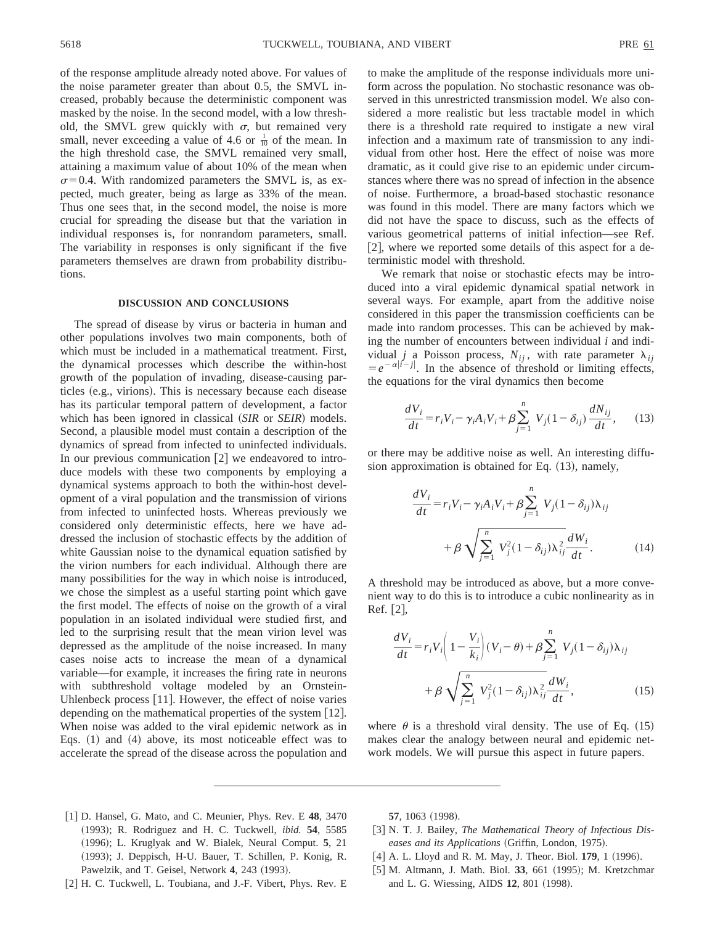of the response amplitude already noted above. For values of the noise parameter greater than about 0.5, the SMVL increased, probably because the deterministic component was masked by the noise. In the second model, with a low threshold, the SMVL grew quickly with  $\sigma$ , but remained very small, never exceeding a value of 4.6 or  $\frac{1}{10}$  of the mean. In the high threshold case, the SMVL remained very small, attaining a maximum value of about 10% of the mean when  $\sigma$ =0.4. With randomized parameters the SMVL is, as expected, much greater, being as large as 33% of the mean. Thus one sees that, in the second model, the noise is more crucial for spreading the disease but that the variation in individual responses is, for nonrandom parameters, small. The variability in responses is only significant if the five parameters themselves are drawn from probability distributions.

### **DISCUSSION AND CONCLUSIONS**

The spread of disease by virus or bacteria in human and other populations involves two main components, both of which must be included in a mathematical treatment. First, the dynamical processes which describe the within-host growth of the population of invading, disease-causing particles (e.g., virions). This is necessary because each disease has its particular temporal pattern of development, a factor which has been ignored in classical (*SIR* or *SEIR*) models. Second, a plausible model must contain a description of the dynamics of spread from infected to uninfected individuals. In our previous communication  $|2|$  we endeavored to introduce models with these two components by employing a dynamical systems approach to both the within-host development of a viral population and the transmission of virions from infected to uninfected hosts. Whereas previously we considered only deterministic effects, here we have addressed the inclusion of stochastic effects by the addition of white Gaussian noise to the dynamical equation satisfied by the virion numbers for each individual. Although there are many possibilities for the way in which noise is introduced, we chose the simplest as a useful starting point which gave the first model. The effects of noise on the growth of a viral population in an isolated individual were studied first, and led to the surprising result that the mean virion level was depressed as the amplitude of the noise increased. In many cases noise acts to increase the mean of a dynamical variable—for example, it increases the firing rate in neurons with subthreshold voltage modeled by an Ornstein-Uhlenbeck process  $[11]$ . However, the effect of noise varies depending on the mathematical properties of the system  $[12]$ . When noise was added to the viral epidemic network as in Eqs.  $(1)$  and  $(4)$  above, its most noticeable effect was to accelerate the spread of the disease across the population and

to make the amplitude of the response individuals more uniform across the population. No stochastic resonance was observed in this unrestricted transmission model. We also considered a more realistic but less tractable model in which there is a threshold rate required to instigate a new viral infection and a maximum rate of transmission to any individual from other host. Here the effect of noise was more dramatic, as it could give rise to an epidemic under circumstances where there was no spread of infection in the absence of noise. Furthermore, a broad-based stochastic resonance was found in this model. There are many factors which we did not have the space to discuss, such as the effects of various geometrical patterns of initial infection—see Ref.  $[2]$ , where we reported some details of this aspect for a deterministic model with threshold.

We remark that noise or stochastic efects may be introduced into a viral epidemic dynamical spatial network in several ways. For example, apart from the additive noise considered in this paper the transmission coefficients can be made into random processes. This can be achieved by making the number of encounters between individual *i* and individual *j* a Poisson process,  $N_{ij}$ , with rate parameter  $\lambda_{ij}$  $= e^{-\alpha |i-j|}$ . In the absence of threshold or limiting effects, the equations for the viral dynamics then become

$$
\frac{dV_i}{dt} = r_i V_i - \gamma_i A_i V_i + \beta \sum_{j=1}^n V_j (1 - \delta_{ij}) \frac{dN_{ij}}{dt}, \qquad (13)
$$

or there may be additive noise as well. An interesting diffusion approximation is obtained for Eq.  $(13)$ , namely,

$$
\frac{dV_i}{dt} = r_i V_i - \gamma_i A_i V_i + \beta \sum_{j=1}^n V_j (1 - \delta_{ij}) \lambda_{ij}
$$

$$
+ \beta \sqrt{\sum_{j=1}^n V_j^2 (1 - \delta_{ij}) \lambda_{ij}^2} \frac{dW_i}{dt}.
$$
(14)

A threshold may be introduced as above, but a more convenient way to do this is to introduce a cubic nonlinearity as in  $Ref. [2],$ 

$$
\frac{dV_i}{dt} = r_i V_i \left( 1 - \frac{V_i}{k_i} \right) (V_i - \theta) + \beta \sum_{j=1}^n V_j (1 - \delta_{ij}) \lambda_{ij}
$$

$$
+ \beta \sqrt{\sum_{j=1}^n V_j^2 (1 - \delta_{ij}) \lambda_{ij}^2} \frac{dW_i}{dt}, \qquad (15)
$$

where  $\theta$  is a threshold viral density. The use of Eq. (15) makes clear the analogy between neural and epidemic network models. We will pursue this aspect in future papers.

- [1] D. Hansel, G. Mato, and C. Meunier, Phys. Rev. E 48, 3470 ~1993!; R. Rodriguez and H. C. Tuckwell, *ibid.* **54**, 5585 ~1996!; L. Kruglyak and W. Bialek, Neural Comput. **5**, 21 ~1993!; J. Deppisch, H-U. Bauer, T. Schillen, P. Konig, R. Pawelzik, and T. Geisel, Network 4, 243 (1993).
- [2] H. C. Tuckwell, L. Toubiana, and J.-F. Vibert, Phys. Rev. E

**57**, 1063 (1998).

- [3] N. T. J. Bailey, *The Mathematical Theory of Infectious Diseases and its Applications* (Griffin, London, 1975).
- [4] A. L. Lloyd and R. M. May, J. Theor. Biol. **179**, 1 (1996).
- [5] M. Altmann, J. Math. Biol. 33, 661 (1995); M. Kretzchmar and L. G. Wiessing, AIDS 12, 801 (1998).